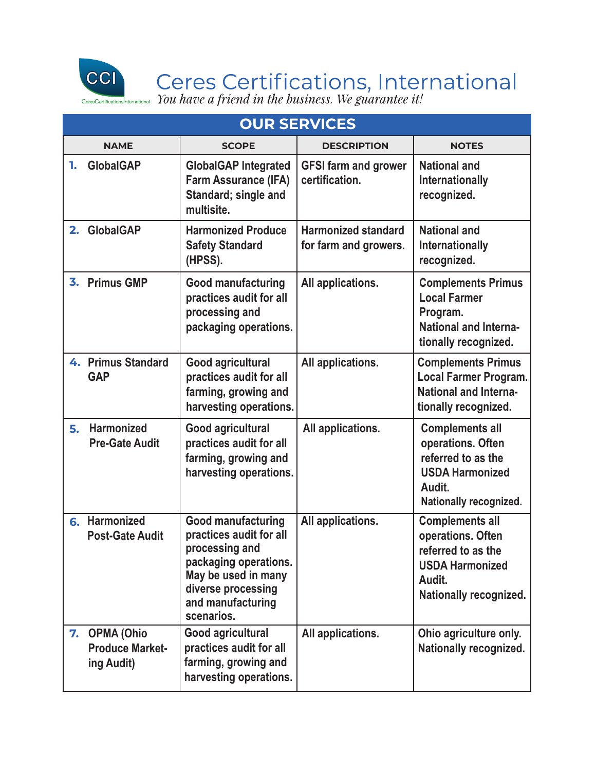

## Ceres Certifications, International<br>You have a friend in the business. We guarantee it!

| <b>OUR SERVICES</b> |                                                       |                                                                                                                                                                                 |                                                     |                                                                                                                                 |  |  |  |
|---------------------|-------------------------------------------------------|---------------------------------------------------------------------------------------------------------------------------------------------------------------------------------|-----------------------------------------------------|---------------------------------------------------------------------------------------------------------------------------------|--|--|--|
|                     | <b>NAME</b>                                           | <b>SCOPE</b>                                                                                                                                                                    | <b>DESCRIPTION</b>                                  | <b>NOTES</b>                                                                                                                    |  |  |  |
| 1.                  | <b>GlobalGAP</b>                                      | <b>GlobalGAP Integrated</b><br><b>Farm Assurance (IFA)</b><br>Standard; single and<br>multisite.                                                                                | <b>GFSI farm and grower</b><br>certification.       | <b>National and</b><br><b>Internationally</b><br>recognized.                                                                    |  |  |  |
|                     | 2. GlobalGAP                                          | <b>Harmonized Produce</b><br><b>Safety Standard</b><br>(HPSS).                                                                                                                  | <b>Harmonized standard</b><br>for farm and growers. | <b>National and</b><br><b>Internationally</b><br>recognized.                                                                    |  |  |  |
|                     | 3. Primus GMP                                         | <b>Good manufacturing</b><br>practices audit for all<br>processing and<br>packaging operations.                                                                                 | All applications.                                   | <b>Complements Primus</b><br><b>Local Farmer</b><br>Program.<br><b>National and Interna-</b><br>tionally recognized.            |  |  |  |
|                     | 4. Primus Standard<br><b>GAP</b>                      | Good agricultural<br>practices audit for all<br>farming, growing and<br>harvesting operations.                                                                                  | All applications.                                   | <b>Complements Primus</b><br><b>Local Farmer Program.</b><br><b>National and Interna-</b><br>tionally recognized.               |  |  |  |
| 5.                  | <b>Harmonized</b><br><b>Pre-Gate Audit</b>            | <b>Good agricultural</b><br>practices audit for all<br>farming, growing and<br>harvesting operations.                                                                           | All applications.                                   | <b>Complements all</b><br>operations. Often<br>referred to as the<br><b>USDA Harmonized</b><br>Audit.<br>Nationally recognized. |  |  |  |
| 6.                  | <b>Harmonized</b><br><b>Post-Gate Audit</b>           | <b>Good manufacturing</b><br>practices audit for all<br>processing and<br>packaging operations.<br>May be used in many<br>diverse processing<br>and manufacturing<br>scenarios. | All applications.                                   | <b>Complements all</b><br>operations. Often<br>referred to as the<br><b>USDA Harmonized</b><br>Audit.<br>Nationally recognized. |  |  |  |
|                     | 7. OPMA (Ohio<br><b>Produce Market-</b><br>ing Audit) | Good agricultural<br>practices audit for all<br>farming, growing and<br>harvesting operations.                                                                                  | All applications.                                   | Ohio agriculture only.<br><b>Nationally recognized.</b>                                                                         |  |  |  |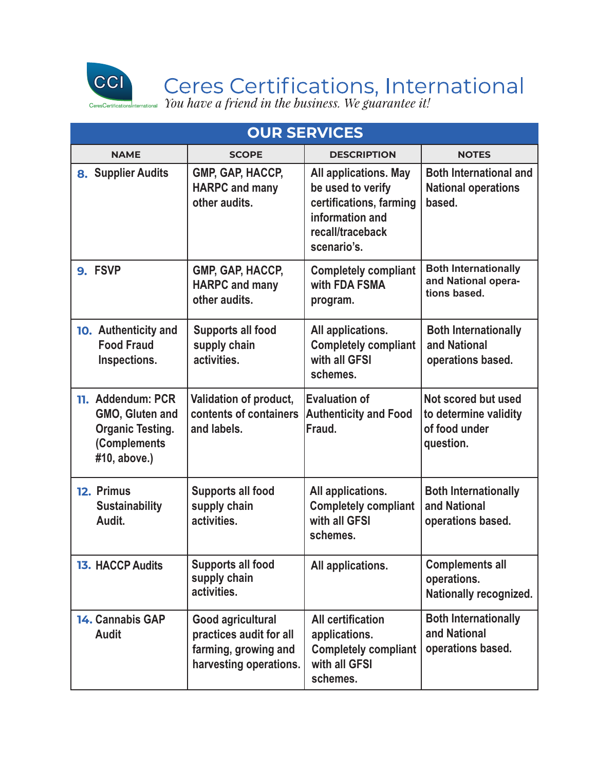

| <b>OUR SERVICES</b>                                                                             |                                                                                                |                                                                                                                                    |                                                                            |  |  |  |  |
|-------------------------------------------------------------------------------------------------|------------------------------------------------------------------------------------------------|------------------------------------------------------------------------------------------------------------------------------------|----------------------------------------------------------------------------|--|--|--|--|
| <b>NAME</b>                                                                                     | <b>SCOPE</b>                                                                                   | <b>DESCRIPTION</b>                                                                                                                 | <b>NOTES</b>                                                               |  |  |  |  |
| 8. Supplier Audits                                                                              | GMP, GAP, HACCP,<br><b>HARPC and many</b><br>other audits.                                     | <b>All applications. May</b><br>be used to verify<br>certifications, farming<br>information and<br>recall/traceback<br>scenario's. | <b>Both International and</b><br><b>National operations</b><br>based.      |  |  |  |  |
| 9. FSVP                                                                                         | GMP, GAP, HACCP,<br><b>HARPC and many</b><br>other audits.                                     | <b>Completely compliant</b><br>with FDA FSMA<br>program.                                                                           | <b>Both Internationally</b><br>and National opera-<br>tions based.         |  |  |  |  |
| 10. Authenticity and<br><b>Food Fraud</b><br>Inspections.                                       | <b>Supports all food</b><br>supply chain<br>activities.                                        | All applications.<br><b>Completely compliant</b><br>with all GFSI<br>schemes.                                                      | <b>Both Internationally</b><br>and National<br>operations based.           |  |  |  |  |
| 11. Addendum: PCR<br>GMO, Gluten and<br><b>Organic Testing.</b><br>(Complements<br>#10, above.) | Validation of product,<br>contents of containers<br>and labels.                                | <b>Evaluation of</b><br><b>Authenticity and Food</b><br>Fraud.                                                                     | Not scored but used<br>to determine validity<br>of food under<br>question. |  |  |  |  |
| 12. Primus<br><b>Sustainability</b><br>Audit.                                                   | <b>Supports all food</b><br>supply chain<br>activities.                                        | All applications.<br><b>Completely compliant</b><br>with all GFSI<br>schemes.                                                      | <b>Both Internationally</b><br>and National<br>operations based.           |  |  |  |  |
| <b>13. HACCP Audits</b>                                                                         | <b>Supports all food</b><br>supply chain<br>activities.                                        | All applications.                                                                                                                  | <b>Complements all</b><br>operations.<br>Nationally recognized.            |  |  |  |  |
| 14. Cannabis GAP<br><b>Audit</b>                                                                | Good agricultural<br>practices audit for all<br>farming, growing and<br>harvesting operations. | <b>All certification</b><br>applications.<br><b>Completely compliant</b><br>with all GFSI<br>schemes.                              | <b>Both Internationally</b><br>and National<br>operations based.           |  |  |  |  |